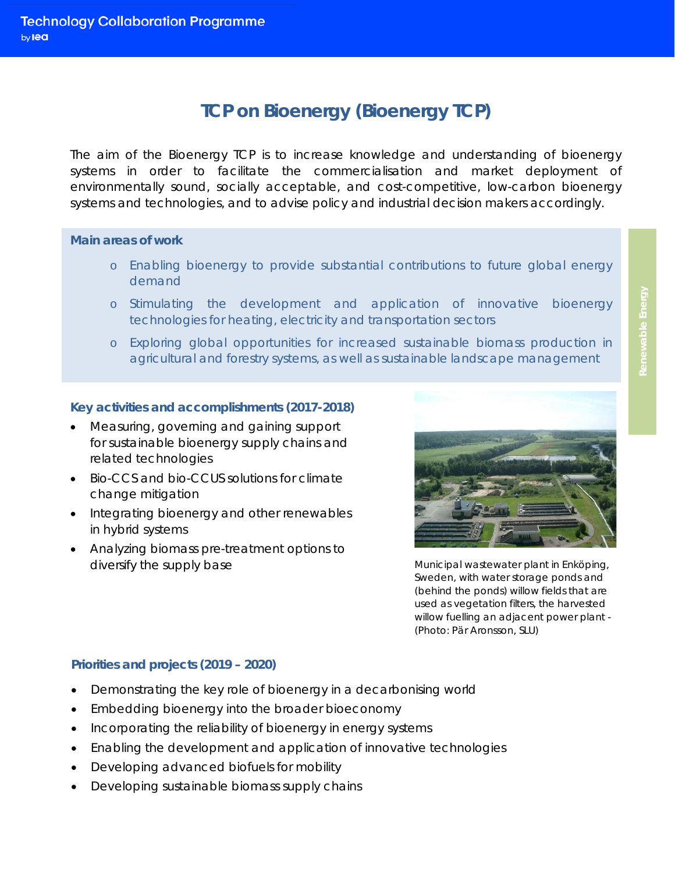# **TCP on Bioenergy (Bioenergy TCP)**

The aim of the Bioenergy TCP is to increase knowledge and understanding of bioenergy systems in order to facilitate the commercialisation and market deployment of environmentally sound, socially acceptable, and cost-competitive, low-carbon bioenergy systems and technologies, and to advise policy and industrial decision makers accordingly.

### **Main areas of work**

- o Enabling bioenergy to provide substantial contributions to future global energy demand
- o Stimulating the development and application of innovative bioenergy technologies for heating, electricity and transportation sectors
- o Exploring global opportunities for increased sustainable biomass production in agricultural and forestry systems, as well as sustainable landscape management

## **Key activities and accomplishments (2017-2018)**

- Measuring, governing and gaining support for sustainable bioenergy supply chains and related technologies
- Bio-CCS and bio-CCUS solutions for climate change mitigation
- Integrating bioenergy and other renewables in hybrid systems
- Analyzing biomass pre-treatment options to diversify the supply base



*Municipal wastewater plant in Enköping, Sweden, with water storage ponds and (behind the ponds) willow fields that are used as vegetation filters, the harvested willow fuelling an adjacent power plant - (Photo: Pär Aronsson, SLU)*

# **Priorities and projects (2019 – 2020)**

- Demonstrating the key role of bioenergy in a decarbonising world
- Embedding bioenergy into the broader bioeconomy
- Incorporating the reliability of bioenergy in energy systems
- Enabling the development and application of innovative technologies
- Developing advanced biofuels for mobility
- Developing sustainable biomass supply chains